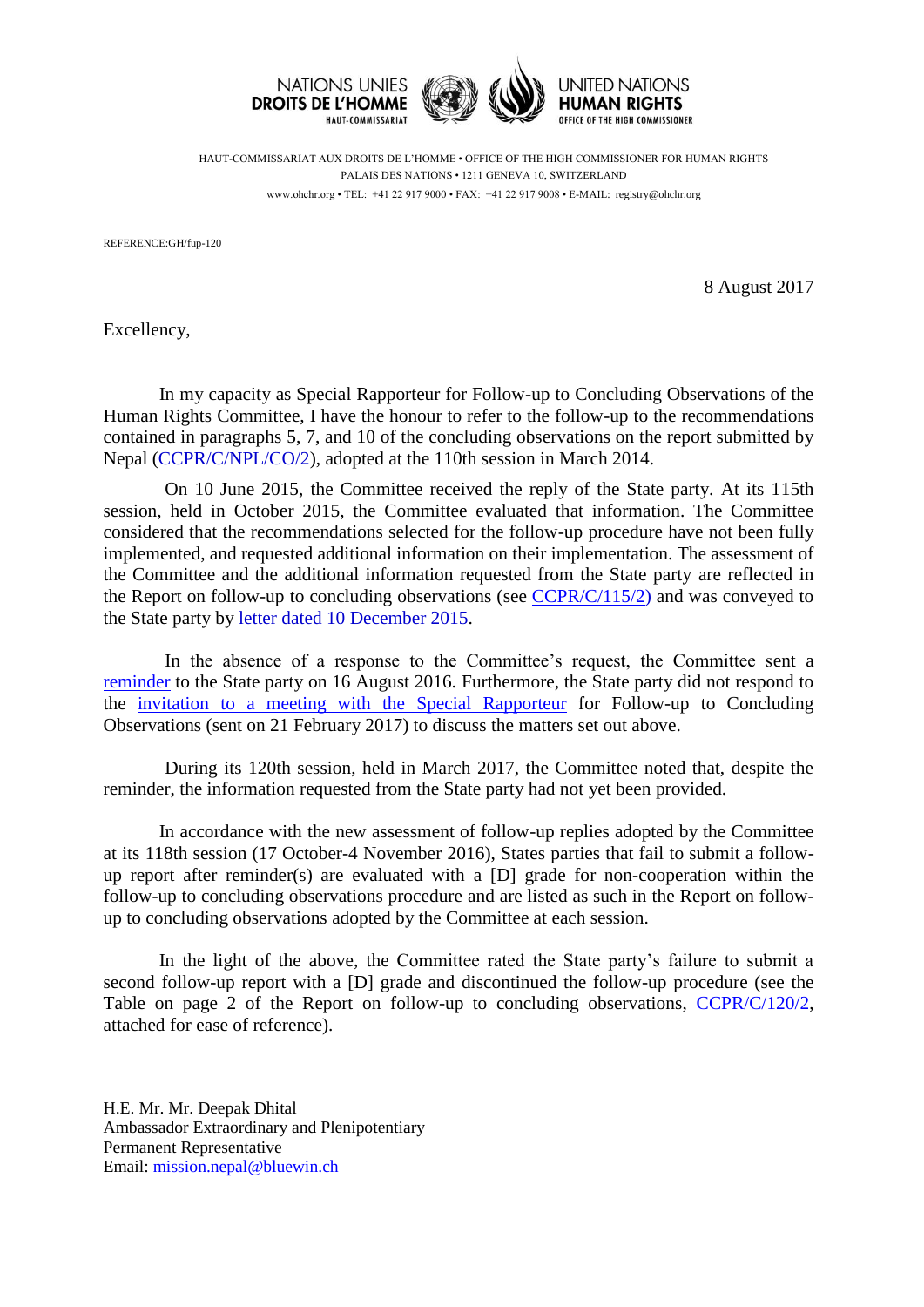

HAUT-COMMISSARIAT AUX DROITS DE L'HOMME • OFFICE OF THE HIGH COMMISSIONER FOR HUMAN RIGHTS PALAIS DES NATIONS • 1211 GENEVA 10, SWITZERLAND www.ohchr.org • TEL: +41 22 917 9000 • FAX: +41 22 917 9008 • E-MAIL: registry@ohchr.org

REFERENCE:GH/fup-120

8 August 2017

Excellency,

In my capacity as Special Rapporteur for Follow-up to Concluding Observations of the Human Rights Committee, I have the honour to refer to the follow-up to the recommendations contained in paragraphs 5, 7, and 10 of the concluding observations on the report submitted by Nepal [\(CCPR/C/NPL/CO/2\)](http://tbinternet.ohchr.org/_layouts/treatybodyexternal/Download.aspx?symbolno=CCPR%2fC%2fNPL%2fCO%2f2&Lang=en), adopted at the 110th session in March 2014.

On 10 June 2015, the Committee received the reply of the State party. At its 115th session, held in October 2015, the Committee evaluated that information. The Committee considered that the recommendations selected for the follow-up procedure have not been fully implemented, and requested additional information on their implementation. The assessment of the Committee and the additional information requested from the State party are reflected in the Report on follow-up to concluding observations [\(see](http://tbinternet.ohchr.org/_layouts/treatybodyexternal/Download.aspx?symbolno=CCPR%2fC%2f113%2f2&Lang=en)  $CCPR/C/115/2$ ) and was conveyed to the State party by [letter dated 10 December 2015.](http://tbinternet.ohchr.org/Treaties/CCPR/Shared%20Documents/NPL/INT_CCPR_FUL_NPL_22487_E.pdf)

In the absence of a response to the Committee's request, the Committee sent a [reminder](http://tbinternet.ohchr.org/Treaties/CCPR/Shared%20Documents/NPL/INT_CCPR_FUL_NPL_24965_E.pdf) to the State party on 16 August 2016. Furthermore, the State party did not respond to the [invitation to a meeting with the Special Rapporteur](http://tbinternet.ohchr.org/Treaties/CCPR/Shared%20Documents/NPL/INT_CCPR_FUL_NPL_26923_E.pdf) for Follow-up to Concluding Observations (sent on 21 February 2017) to discuss the matters set out above.

During its 120th session, held in March 2017, the Committee noted that, despite the reminder, the information requested from the State party had not yet been provided.

In accordance with the new assessment of follow-up replies adopted by the Committee at its 118th session (17 October-4 November 2016), States parties that fail to submit a followup report after reminder(s) are evaluated with a [D] grade for non-cooperation within the follow-up to concluding observations procedure and are listed as such in the Report on followup to concluding observations adopted by the Committee at each session.

In the light of the above, the Committee rated the State party's failure to submit a second follow-up report with a [D] grade and discontinued the follow-up procedure (see the Table on page 2 of the Report on follow-up to concluding observations, [CCPR/C/120/2,](http://tbinternet.ohchr.org/_layouts/treatybodyexternal/Download.aspx?symbolno=CCPR%2fC%2f120%2f2&Lang=en) attached for ease of reference).

H.E. Mr. Mr. Deepak Dhital Ambassador Extraordinary and Plenipotentiary Permanent Representative Email: [mission.nepal@bluewin.ch](mailto:mission.nepal@bluewin.ch)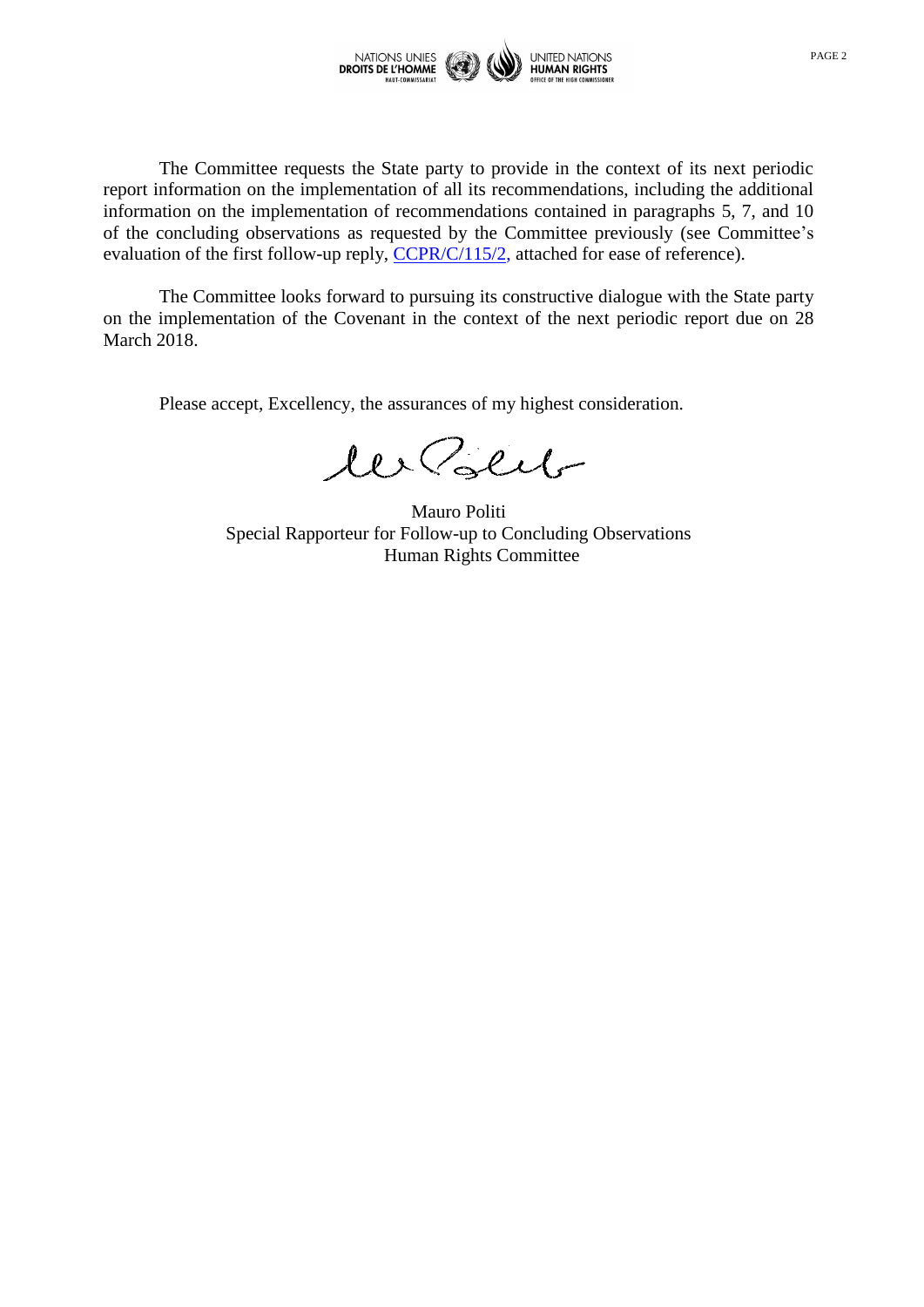

The Committee requests the State party to provide in the context of its next periodic report information on the implementation of all its recommendations, including the additional information on the implementation of recommendations contained in paragraphs 5, 7, and 10 of the concluding observations as requested by the Committee previously (see Committee's evaluation of the first follow-up reply, [CCPR/C/115/2,](http://tbinternet.ohchr.org/_layouts/treatybodyexternal/Download.aspx?symbolno=CCPR%2fC%2f115%2f2&Lang=en) attached for ease of reference).

The Committee looks forward to pursuing its constructive dialogue with the State party on the implementation of the Covenant in the context of the next periodic report due on 28 March 2018.

Please accept, Excellency, the assurances of my highest consideration.

les Polit

Mauro Politi Special Rapporteur for Follow-up to Concluding Observations Human Rights Committee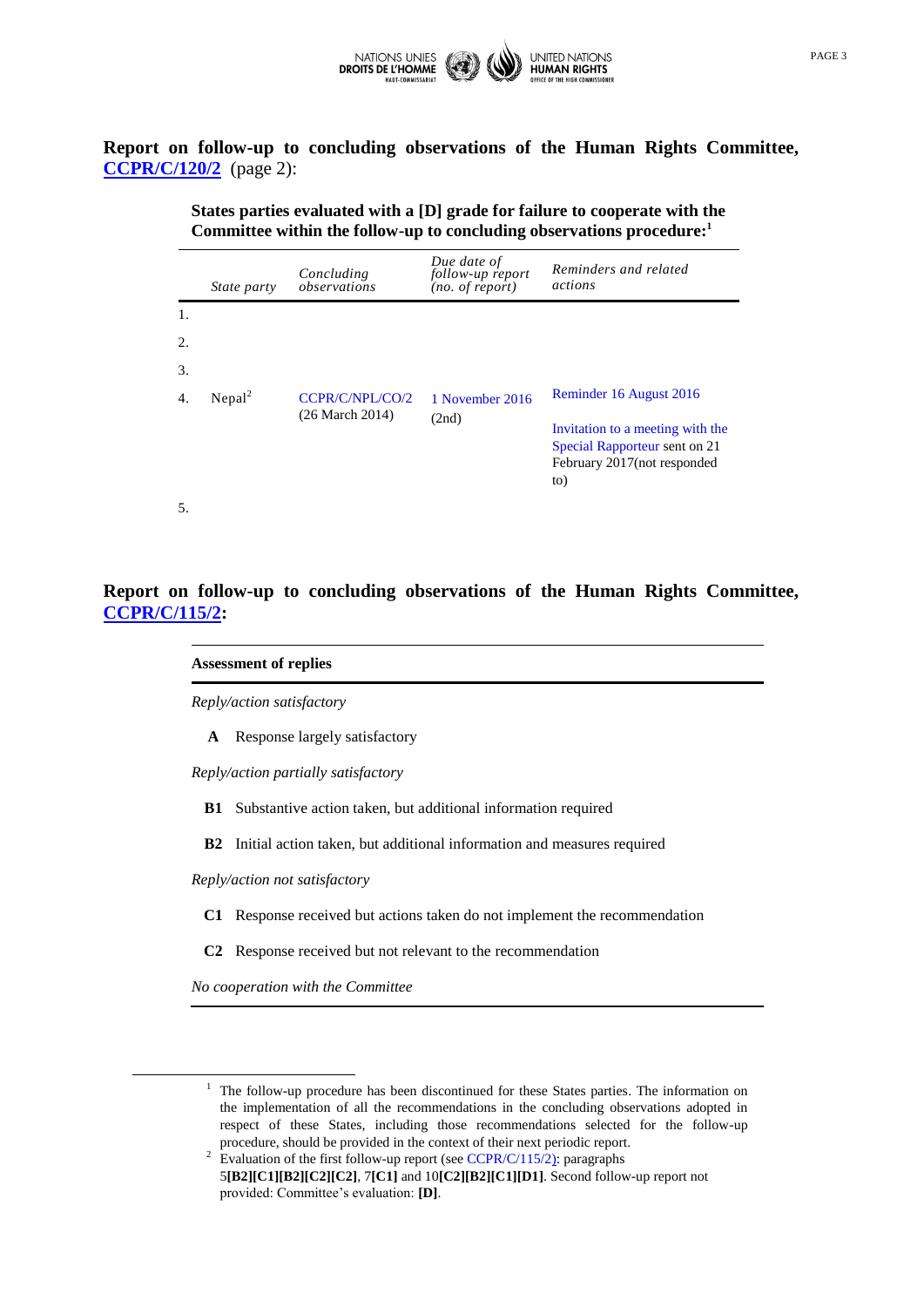

**Report on follow-up to concluding observations of the Human Rights Committee, [CCPR/C/120/2](http://tbinternet.ohchr.org/_layouts/treatybodyexternal/Download.aspx?symbolno=CCPR%2fC%2f120%2f2&Lang=en)** (page 2):

> **States parties evaluated with a [D] grade for failure to cooperate with the Committee within the follow-up to concluding observations procedure:<sup>1</sup>**

|     | <i>State party</i> | Concluding<br>observations                    | Due date of<br>follow-up report<br>(no. of report) | Reminders and related<br>actions                                                                         |
|-----|--------------------|-----------------------------------------------|----------------------------------------------------|----------------------------------------------------------------------------------------------------------|
| 1.  |                    |                                               |                                                    |                                                                                                          |
| 2.  |                    |                                               |                                                    |                                                                                                          |
| 3.  |                    |                                               |                                                    |                                                                                                          |
| 4.  | Nepal <sup>2</sup> | CCPR/C/NPL/CO/2<br>$(26 \text{ March } 2014)$ | 1 November 2016<br>(2nd)                           | Reminder 16 August 2016                                                                                  |
|     |                    |                                               |                                                    | Invitation to a meeting with the<br>Special Rapporteur sent on 21<br>February 2017 (not responded<br>to) |
| .5. |                    |                                               |                                                    |                                                                                                          |

**Report on follow-up to concluding observations of the Human Rights Committee, [CCPR/C/115/2:](http://tbinternet.ohchr.org/_layouts/treatybodyexternal/Download.aspx?symbolno=CCPR%2fC%2f115%2f2&Lang=en)**

# **Assessment of replies**

*Reply/action satisfactory*

**A** Response largely satisfactory

*Reply/action partially satisfactory*

**B1** Substantive action taken, but additional information required

**B2** Initial action taken, but additional information and measures required

*Reply/action not satisfactory*

- **C1** Response received but actions taken do not implement the recommendation
- **C2** Response received but not relevant to the recommendation

*No cooperation with the Committee*

1

 $1$  The follow-up procedure has been discontinued for these States parties. The information on the implementation of all the recommendations in the concluding observations adopted in respect of these States, including those recommendations selected for the follow-up procedure, should be provided in the context of their next periodic report.

<sup>&</sup>lt;sup>2</sup> Evaluation of the first follow-up report (see [CCPR/C/115/2\)](http://tbinternet.ohchr.org/_layouts/treatybodyexternal/Download.aspx?symbolno=CCPR%2fC%2f115%2f2&Lang=en): paragraphs 5**[B2][C1][B2][C2][C2]**, 7**[C1]** and 10**[C2][B2][C1][D1]**. Second follow-up report not provided: Committee's evaluation: **[D]**.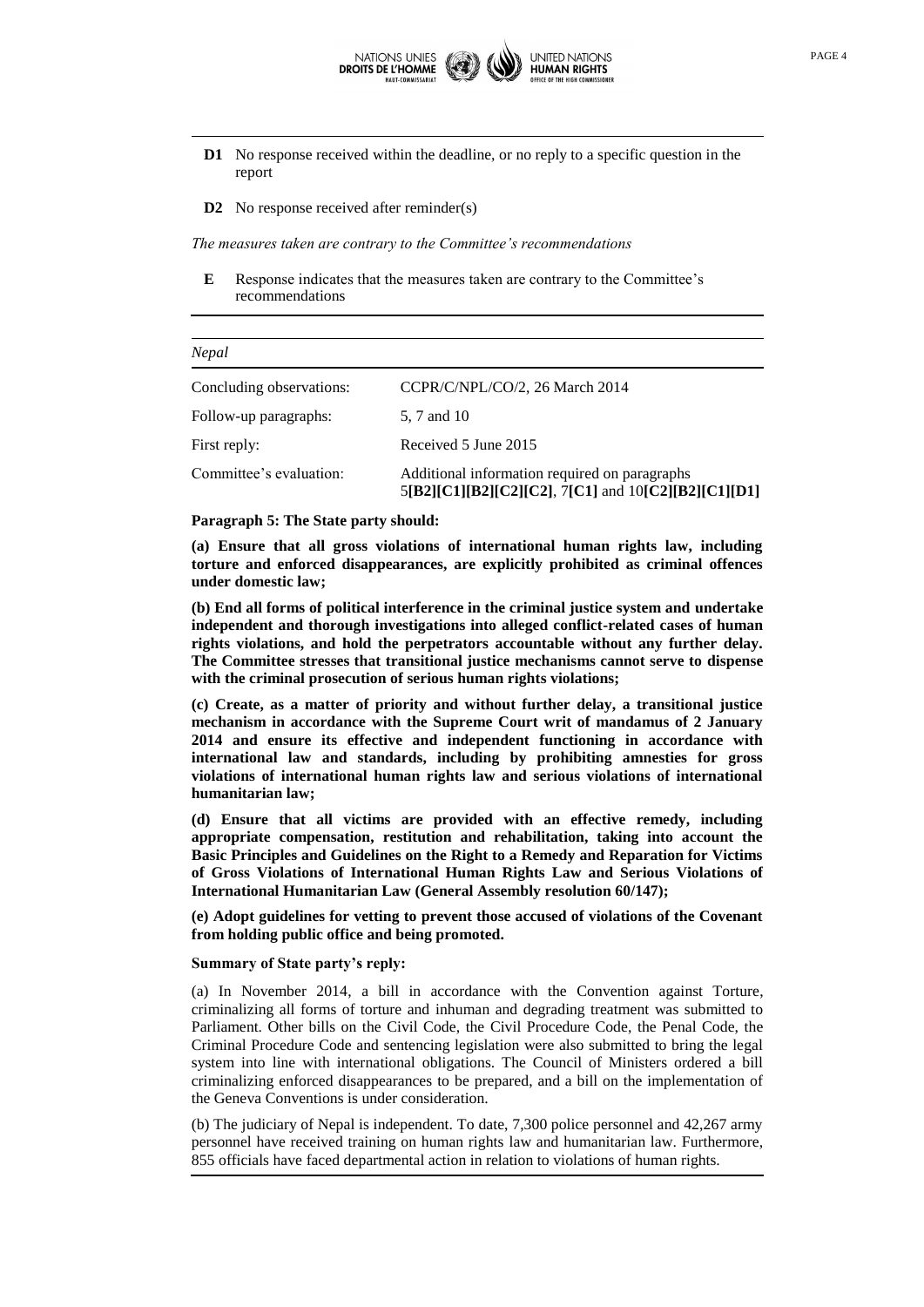

- **D1** No response received within the deadline, or no reply to a specific question in the report
- **D2** No response received after reminder(s)

*The measures taken are contrary to the Committee's recommendations*

**E** Response indicates that the measures taken are contrary to the Committee's recommendations

| Nepal                    |                                                                                                      |  |  |
|--------------------------|------------------------------------------------------------------------------------------------------|--|--|
| Concluding observations: | CCPR/C/NPL/CO/2, 26 March 2014                                                                       |  |  |
| Follow-up paragraphs:    | 5, 7 and 10                                                                                          |  |  |
| First reply:             | Received 5 June 2015                                                                                 |  |  |
| Committee's evaluation:  | Additional information required on paragraphs<br>5[B2][C1][B2][C2][C2], 7[C1] and 10[C2][B2][C1][D1] |  |  |

### **Paragraph 5: The State party should:**

**(a) Ensure that all gross violations of international human rights law, including torture and enforced disappearances, are explicitly prohibited as criminal offences under domestic law;**

**(b) End all forms of political interference in the criminal justice system and undertake independent and thorough investigations into alleged conflict-related cases of human rights violations, and hold the perpetrators accountable without any further delay. The Committee stresses that transitional justice mechanisms cannot serve to dispense with the criminal prosecution of serious human rights violations;** 

**(c) Create, as a matter of priority and without further delay, a transitional justice mechanism in accordance with the Supreme Court writ of mandamus of 2 January 2014 and ensure its effective and independent functioning in accordance with international law and standards, including by prohibiting amnesties for gross violations of international human rights law and serious violations of international humanitarian law;**

**(d) Ensure that all victims are provided with an effective remedy, including appropriate compensation, restitution and rehabilitation, taking into account the Basic Principles and Guidelines on the Right to a Remedy and Reparation for Victims of Gross Violations of International Human Rights Law and Serious Violations of International Humanitarian Law (General Assembly resolution 60/147);** 

**(e) Adopt guidelines for vetting to prevent those accused of violations of the Covenant from holding public office and being promoted.**

### **Summary of State party's reply:**

(a) In November 2014, a bill in accordance with the Convention against Torture, criminalizing all forms of torture and inhuman and degrading treatment was submitted to Parliament. Other bills on the Civil Code, the Civil Procedure Code, the Penal Code, the Criminal Procedure Code and sentencing legislation were also submitted to bring the legal system into line with international obligations. The Council of Ministers ordered a bill criminalizing enforced disappearances to be prepared, and a bill on the implementation of the Geneva Conventions is under consideration.

(b) The judiciary of Nepal is independent. To date, 7,300 police personnel and 42,267 army personnel have received training on human rights law and humanitarian law. Furthermore, 855 officials have faced departmental action in relation to violations of human rights.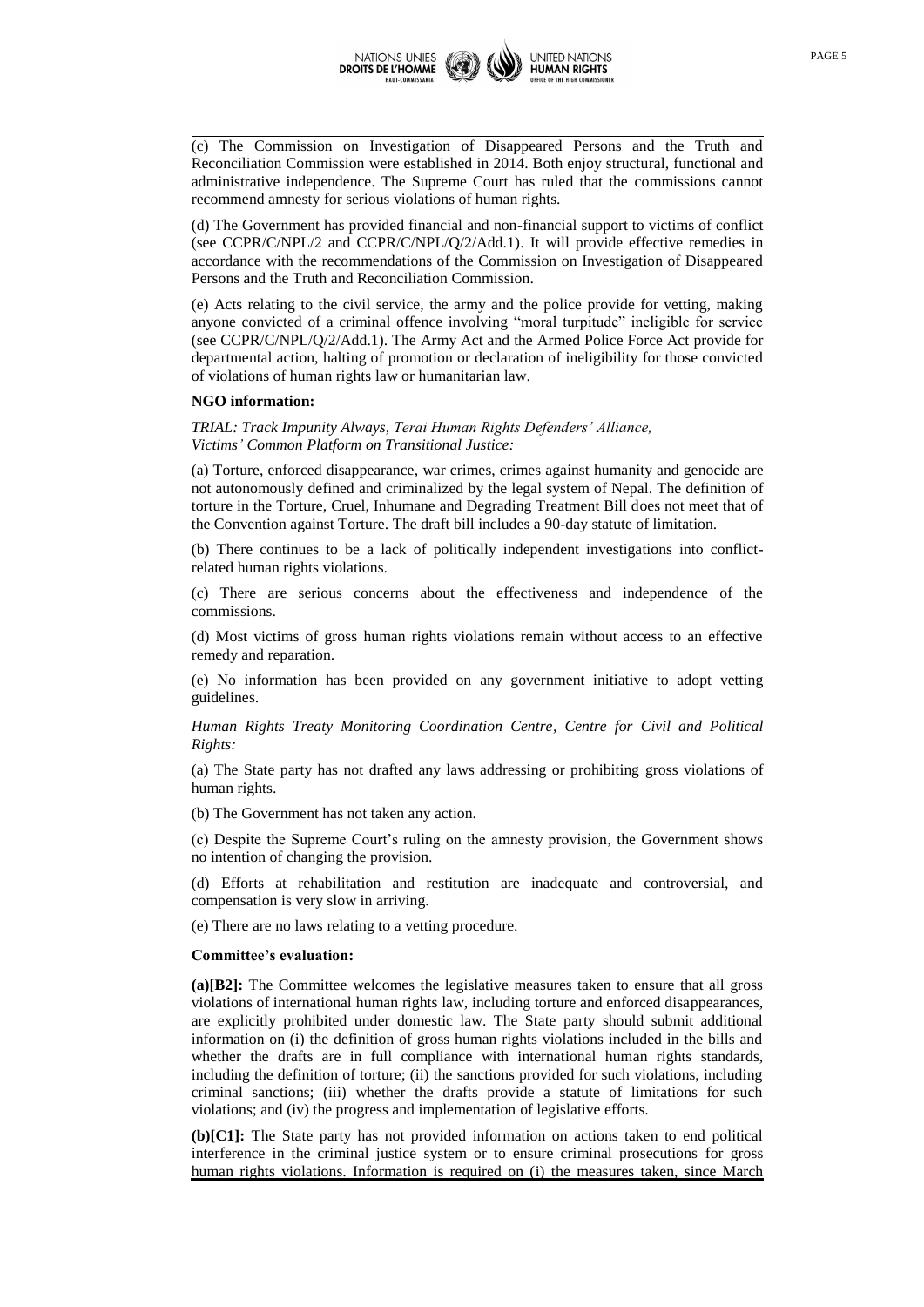

(c) The Commission on Investigation of Disappeared Persons and the Truth and Reconciliation Commission were established in 2014. Both enjoy structural, functional and administrative independence. The Supreme Court has ruled that the commissions cannot recommend amnesty for serious violations of human rights.

(d) The Government has provided financial and non-financial support to victims of conflict (see CCPR/C/NPL/2 and CCPR/C/NPL/Q/2/Add.1). It will provide effective remedies in accordance with the recommendations of the Commission on Investigation of Disappeared Persons and the Truth and Reconciliation Commission.

(e) Acts relating to the civil service, the army and the police provide for vetting, making anyone convicted of a criminal offence involving "moral turpitude" ineligible for service (see CCPR/C/NPL/Q/2/Add.1). The Army Act and the Armed Police Force Act provide for departmental action, halting of promotion or declaration of ineligibility for those convicted of violations of human rights law or humanitarian law.

# **NGO information:**

*TRIAL: Track Impunity Always, Terai Human Rights Defenders' Alliance, Victims' Common Platform on Transitional Justice:*

(a) Torture, enforced disappearance, war crimes, crimes against humanity and genocide are not autonomously defined and criminalized by the legal system of Nepal. The definition of torture in the Torture, Cruel, Inhumane and Degrading Treatment Bill does not meet that of the Convention against Torture. The draft bill includes a 90-day statute of limitation.

(b) There continues to be a lack of politically independent investigations into conflictrelated human rights violations.

(c) There are serious concerns about the effectiveness and independence of the commissions.

(d) Most victims of gross human rights violations remain without access to an effective remedy and reparation.

(e) No information has been provided on any government initiative to adopt vetting guidelines.

*Human Rights Treaty Monitoring Coordination Centre, Centre for Civil and Political Rights:*

(a) The State party has not drafted any laws addressing or prohibiting gross violations of human rights.

(b) The Government has not taken any action.

(c) Despite the Supreme Court's ruling on the amnesty provision, the Government shows no intention of changing the provision.

(d) Efforts at rehabilitation and restitution are inadequate and controversial, and compensation is very slow in arriving.

(e) There are no laws relating to a vetting procedure.

#### **Committee's evaluation:**

**(a)[B2]:** The Committee welcomes the legislative measures taken to ensure that all gross violations of international human rights law, including torture and enforced disappearances, are explicitly prohibited under domestic law. The State party should submit additional information on (i) the definition of gross human rights violations included in the bills and whether the drafts are in full compliance with international human rights standards, including the definition of torture; (ii) the sanctions provided for such violations, including criminal sanctions; (iii) whether the drafts provide a statute of limitations for such violations; and (iv) the progress and implementation of legislative efforts.

**(b)[C1]:** The State party has not provided information on actions taken to end political interference in the criminal justice system or to ensure criminal prosecutions for gross human rights violations. Information is required on (i) the measures taken, since March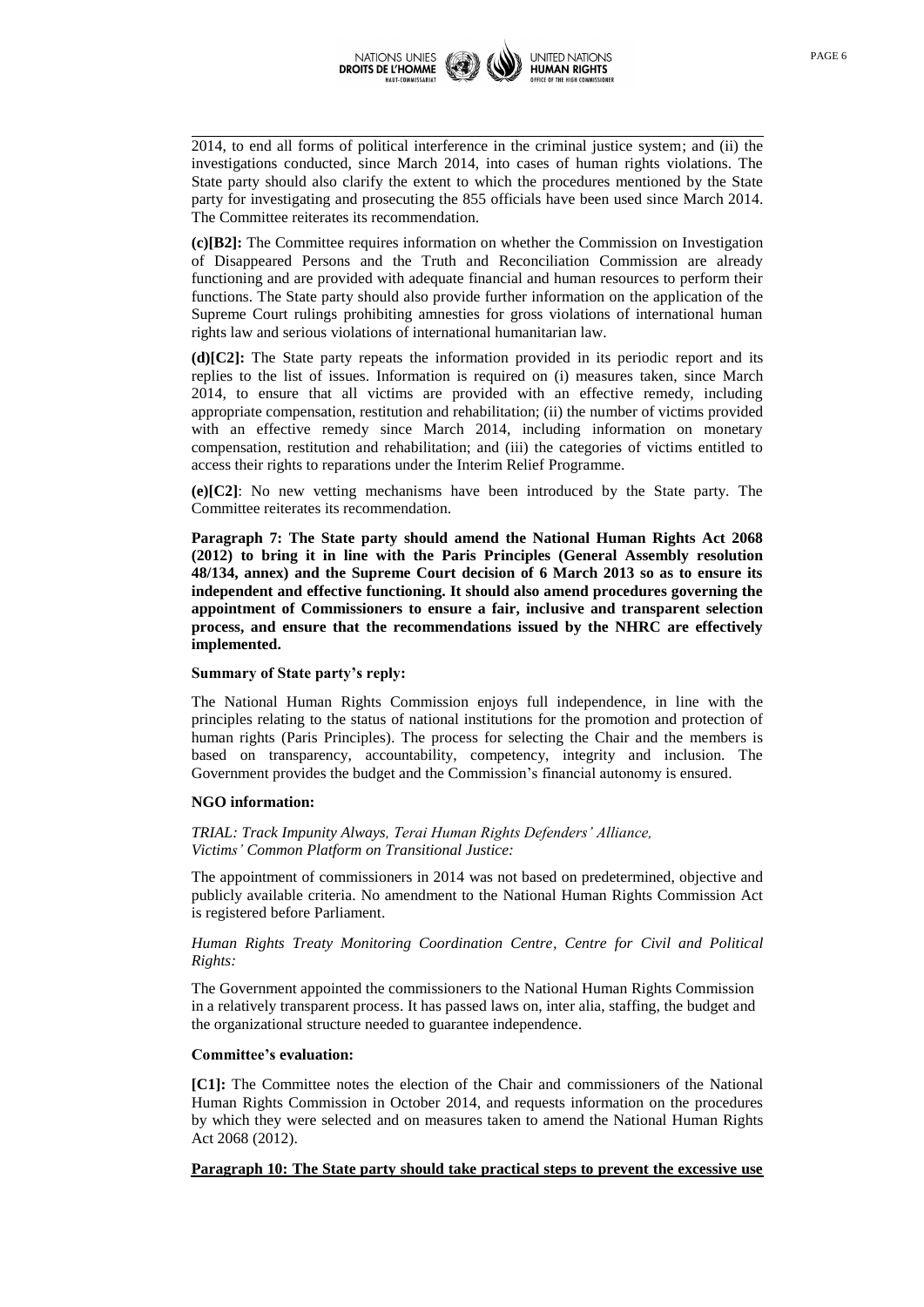

2014, to end all forms of political interference in the criminal justice system; and (ii) the investigations conducted, since March 2014, into cases of human rights violations. The State party should also clarify the extent to which the procedures mentioned by the State party for investigating and prosecuting the 855 officials have been used since March 2014. The Committee reiterates its recommendation.

**(c)[B2]:** The Committee requires information on whether the Commission on Investigation of Disappeared Persons and the Truth and Reconciliation Commission are already functioning and are provided with adequate financial and human resources to perform their functions. The State party should also provide further information on the application of the Supreme Court rulings prohibiting amnesties for gross violations of international human rights law and serious violations of international humanitarian law.

**(d)[C2]:** The State party repeats the information provided in its periodic report and its replies to the list of issues. Information is required on (i) measures taken, since March 2014, to ensure that all victims are provided with an effective remedy, including appropriate compensation, restitution and rehabilitation; (ii) the number of victims provided with an effective remedy since March 2014, including information on monetary compensation, restitution and rehabilitation; and (iii) the categories of victims entitled to access their rights to reparations under the Interim Relief Programme.

**(e)[C2]**: No new vetting mechanisms have been introduced by the State party. The Committee reiterates its recommendation.

**Paragraph 7: The State party should amend the National Human Rights Act 2068 (2012) to bring it in line with the Paris Principles (General Assembly resolution 48/134, annex) and the Supreme Court decision of 6 March 2013 so as to ensure its independent and effective functioning. It should also amend procedures governing the appointment of Commissioners to ensure a fair, inclusive and transparent selection process, and ensure that the recommendations issued by the NHRC are effectively implemented.**

# **Summary of State party's reply:**

The National Human Rights Commission enjoys full independence, in line with the principles relating to the status of national institutions for the promotion and protection of human rights (Paris Principles). The process for selecting the Chair and the members is based on transparency, accountability, competency, integrity and inclusion. The Government provides the budget and the Commission's financial autonomy is ensured.

### **NGO information:**

*TRIAL: Track Impunity Always, Terai Human Rights Defenders' Alliance, Victims' Common Platform on Transitional Justice:*

The appointment of commissioners in 2014 was not based on predetermined, objective and publicly available criteria. No amendment to the National Human Rights Commission Act is registered before Parliament.

*Human Rights Treaty Monitoring Coordination Centre, Centre for Civil and Political Rights:*

The Government appointed the commissioners to the National Human Rights Commission in a relatively transparent process. It has passed laws on, inter alia, staffing, the budget and the organizational structure needed to guarantee independence.

### **Committee's evaluation:**

**[C1]:** The Committee notes the election of the Chair and commissioners of the National Human Rights Commission in October 2014, and requests information on the procedures by which they were selected and on measures taken to amend the National Human Rights Act 2068 (2012).

# **Paragraph 10: The State party should take practical steps to prevent the excessive use**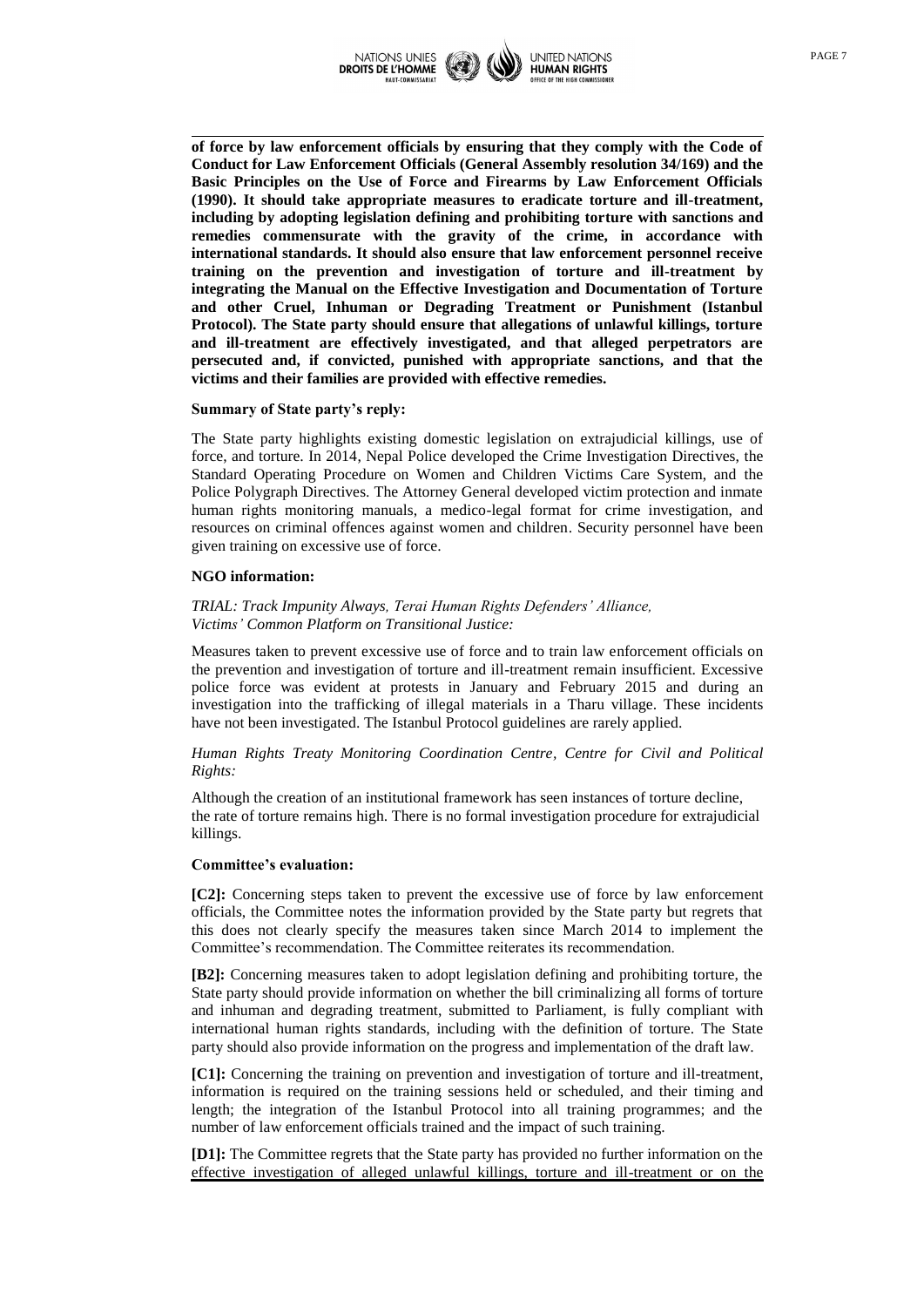

**of force by law enforcement officials by ensuring that they comply with the Code of Conduct for Law Enforcement Officials (General Assembly resolution 34/169) and the Basic Principles on the Use of Force and Firearms by Law Enforcement Officials (1990). It should take appropriate measures to eradicate torture and ill-treatment, including by adopting legislation defining and prohibiting torture with sanctions and remedies commensurate with the gravity of the crime, in accordance with international standards. It should also ensure that law enforcement personnel receive training on the prevention and investigation of torture and ill-treatment by integrating the Manual on the Effective Investigation and Documentation of Torture and other Cruel, Inhuman or Degrading Treatment or Punishment (Istanbul Protocol). The State party should ensure that allegations of unlawful killings, torture and ill-treatment are effectively investigated, and that alleged perpetrators are persecuted and, if convicted, punished with appropriate sanctions, and that the victims and their families are provided with effective remedies.**

#### **Summary of State party's reply:**

The State party highlights existing domestic legislation on extrajudicial killings, use of force, and torture. In 2014, Nepal Police developed the Crime Investigation Directives, the Standard Operating Procedure on Women and Children Victims Care System, and the Police Polygraph Directives. The Attorney General developed victim protection and inmate human rights monitoring manuals, a medico-legal format for crime investigation, and resources on criminal offences against women and children. Security personnel have been given training on excessive use of force.

#### **NGO information:**

# *TRIAL: Track Impunity Always, Terai Human Rights Defenders' Alliance, Victims' Common Platform on Transitional Justice:*

Measures taken to prevent excessive use of force and to train law enforcement officials on the prevention and investigation of torture and ill-treatment remain insufficient. Excessive police force was evident at protests in January and February 2015 and during an investigation into the trafficking of illegal materials in a Tharu village. These incidents have not been investigated. The Istanbul Protocol guidelines are rarely applied.

### *Human Rights Treaty Monitoring Coordination Centre, Centre for Civil and Political Rights:*

Although the creation of an institutional framework has seen instances of torture decline, the rate of torture remains high. There is no formal investigation procedure for extrajudicial killings.

#### **Committee's evaluation:**

**[C2]:** Concerning steps taken to prevent the excessive use of force by law enforcement officials, the Committee notes the information provided by the State party but regrets that this does not clearly specify the measures taken since March 2014 to implement the Committee's recommendation. The Committee reiterates its recommendation.

**[B2]:** Concerning measures taken to adopt legislation defining and prohibiting torture, the State party should provide information on whether the bill criminalizing all forms of torture and inhuman and degrading treatment, submitted to Parliament, is fully compliant with international human rights standards, including with the definition of torture. The State party should also provide information on the progress and implementation of the draft law.

**[C1]:** Concerning the training on prevention and investigation of torture and ill-treatment, information is required on the training sessions held or scheduled, and their timing and length; the integration of the Istanbul Protocol into all training programmes; and the number of law enforcement officials trained and the impact of such training.

**[D1]:** The Committee regrets that the State party has provided no further information on the effective investigation of alleged unlawful killings, torture and ill-treatment or on the